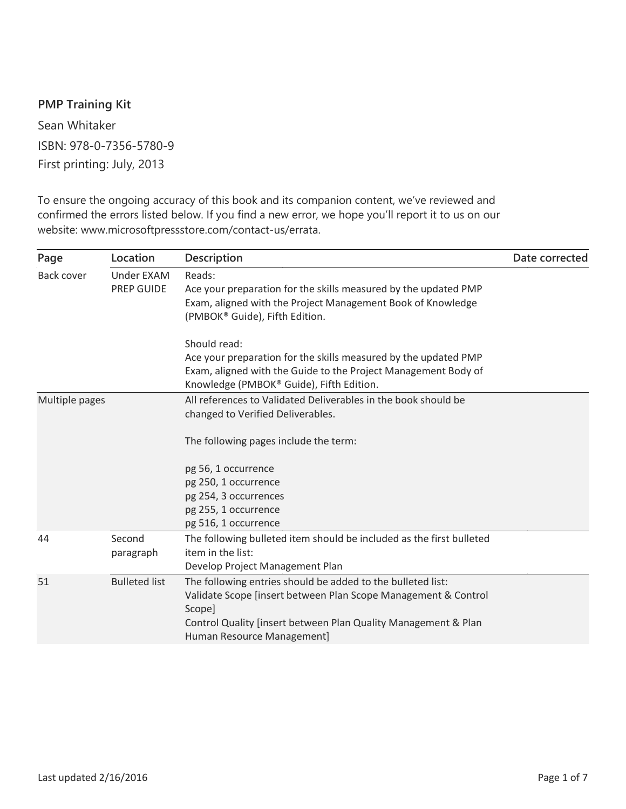## **PMP Training Kit**

Sean Whitaker ISBN: 978-0-7356-5780-9 First printing: July, 2013

To ensure the ongoing accuracy of this book and its companion content, we've reviewed and confirmed the errors listed below. If you find a new error, we hope you'll report it to us on our website: www.microsoftpressstore.com/contact-us/errata.

| Page              | Location                        | <b>Description</b>                                                                                                                                                                                                                      | Date corrected |
|-------------------|---------------------------------|-----------------------------------------------------------------------------------------------------------------------------------------------------------------------------------------------------------------------------------------|----------------|
| <b>Back cover</b> | <b>Under EXAM</b><br>PREP GUIDE | Reads:<br>Ace your preparation for the skills measured by the updated PMP<br>Exam, aligned with the Project Management Book of Knowledge<br>(PMBOK® Guide), Fifth Edition.                                                              |                |
|                   |                                 | Should read:<br>Ace your preparation for the skills measured by the updated PMP<br>Exam, aligned with the Guide to the Project Management Body of<br>Knowledge (PMBOK® Guide), Fifth Edition.                                           |                |
| Multiple pages    |                                 | All references to Validated Deliverables in the book should be<br>changed to Verified Deliverables.                                                                                                                                     |                |
|                   |                                 | The following pages include the term:                                                                                                                                                                                                   |                |
|                   |                                 | pg 56, 1 occurrence<br>pg 250, 1 occurrence<br>pg 254, 3 occurrences<br>pg 255, 1 occurrence<br>pg 516, 1 occurrence                                                                                                                    |                |
| 44                | Second<br>paragraph             | The following bulleted item should be included as the first bulleted<br>item in the list:<br>Develop Project Management Plan                                                                                                            |                |
| 51                | <b>Bulleted list</b>            | The following entries should be added to the bulleted list:<br>Validate Scope [insert between Plan Scope Management & Control<br>Scope]<br>Control Quality [insert between Plan Quality Management & Plan<br>Human Resource Management] |                |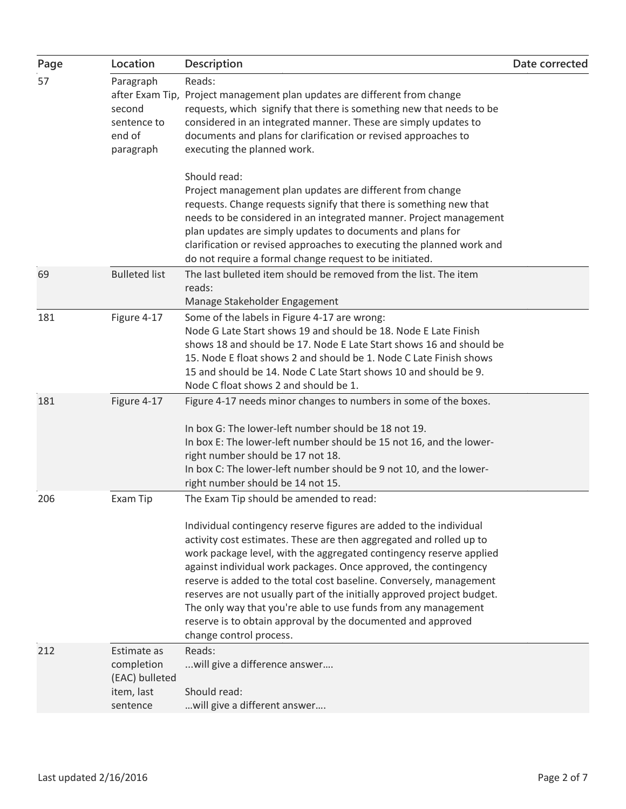| Page | Location                                                              | <b>Description</b>                                                                                                                                                                                                                                                                                                                                                                                                                                                                                                                                                                                                                             | Date corrected |
|------|-----------------------------------------------------------------------|------------------------------------------------------------------------------------------------------------------------------------------------------------------------------------------------------------------------------------------------------------------------------------------------------------------------------------------------------------------------------------------------------------------------------------------------------------------------------------------------------------------------------------------------------------------------------------------------------------------------------------------------|----------------|
| 57   | Paragraph<br>second<br>sentence to<br>end of<br>paragraph             | Reads:<br>after Exam Tip, Project management plan updates are different from change<br>requests, which signify that there is something new that needs to be<br>considered in an integrated manner. These are simply updates to<br>documents and plans for clarification or revised approaches to<br>executing the planned work.                                                                                                                                                                                                                                                                                                                |                |
|      |                                                                       | Should read:<br>Project management plan updates are different from change<br>requests. Change requests signify that there is something new that<br>needs to be considered in an integrated manner. Project management<br>plan updates are simply updates to documents and plans for<br>clarification or revised approaches to executing the planned work and<br>do not require a formal change request to be initiated.                                                                                                                                                                                                                        |                |
| 69   | <b>Bulleted list</b>                                                  | The last bulleted item should be removed from the list. The item<br>reads:<br>Manage Stakeholder Engagement                                                                                                                                                                                                                                                                                                                                                                                                                                                                                                                                    |                |
| 181  | Figure 4-17                                                           | Some of the labels in Figure 4-17 are wrong:<br>Node G Late Start shows 19 and should be 18. Node E Late Finish<br>shows 18 and should be 17. Node E Late Start shows 16 and should be<br>15. Node E float shows 2 and should be 1. Node C Late Finish shows<br>15 and should be 14. Node C Late Start shows 10 and should be 9.<br>Node C float shows 2 and should be 1.                                                                                                                                                                                                                                                                      |                |
| 181  | Figure 4-17                                                           | Figure 4-17 needs minor changes to numbers in some of the boxes.<br>In box G: The lower-left number should be 18 not 19.<br>In box E: The lower-left number should be 15 not 16, and the lower-<br>right number should be 17 not 18.<br>In box C: The lower-left number should be 9 not 10, and the lower-<br>right number should be 14 not 15.                                                                                                                                                                                                                                                                                                |                |
| 206  | Exam Tip                                                              | The Exam Tip should be amended to read:<br>Individual contingency reserve figures are added to the individual<br>activity cost estimates. These are then aggregated and rolled up to<br>work package level, with the aggregated contingency reserve applied<br>against individual work packages. Once approved, the contingency<br>reserve is added to the total cost baseline. Conversely, management<br>reserves are not usually part of the initially approved project budget.<br>The only way that you're able to use funds from any management<br>reserve is to obtain approval by the documented and approved<br>change control process. |                |
| 212  | Estimate as<br>completion<br>(EAC) bulleted<br>item, last<br>sentence | Reads:<br>will give a difference answer<br>Should read:<br>will give a different answer                                                                                                                                                                                                                                                                                                                                                                                                                                                                                                                                                        |                |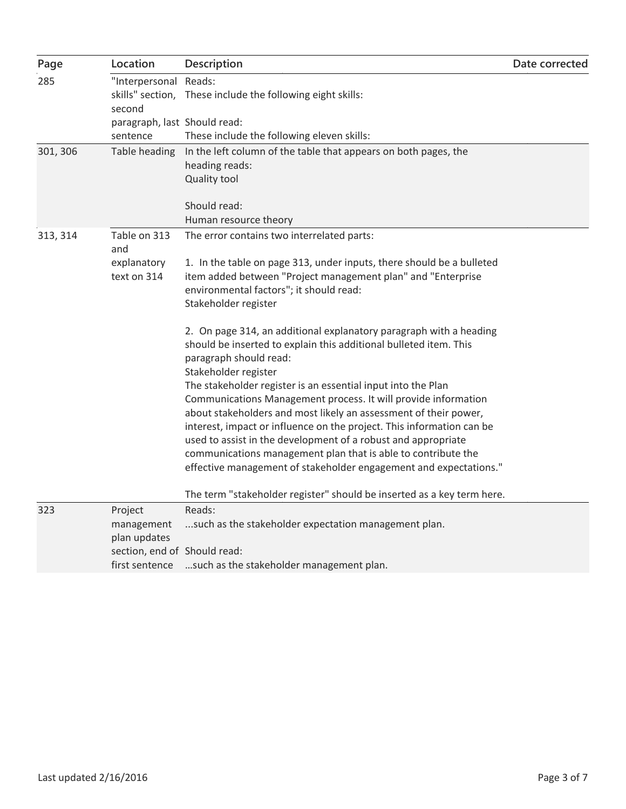| Page     | Location                                       | <b>Description</b>                                                                                                                                                                                         | Date corrected |
|----------|------------------------------------------------|------------------------------------------------------------------------------------------------------------------------------------------------------------------------------------------------------------|----------------|
| 285      | "Interpersonal Reads:<br>second                | skills" section, These include the following eight skills:                                                                                                                                                 |                |
|          | paragraph, last Should read:<br>sentence       | These include the following eleven skills:                                                                                                                                                                 |                |
| 301, 306 | Table heading                                  | In the left column of the table that appears on both pages, the<br>heading reads:<br>Quality tool                                                                                                          |                |
|          |                                                | Should read:<br>Human resource theory                                                                                                                                                                      |                |
| 313, 314 | Table on 313<br>and                            | The error contains two interrelated parts:                                                                                                                                                                 |                |
|          | explanatory<br>text on 314                     | 1. In the table on page 313, under inputs, there should be a bulleted<br>item added between "Project management plan" and "Enterprise<br>environmental factors"; it should read:<br>Stakeholder register   |                |
|          |                                                | 2. On page 314, an additional explanatory paragraph with a heading<br>should be inserted to explain this additional bulleted item. This<br>paragraph should read:<br>Stakeholder register                  |                |
|          |                                                | The stakeholder register is an essential input into the Plan<br>Communications Management process. It will provide information                                                                             |                |
|          |                                                | about stakeholders and most likely an assessment of their power,<br>interest, impact or influence on the project. This information can be<br>used to assist in the development of a robust and appropriate |                |
|          |                                                | communications management plan that is able to contribute the<br>effective management of stakeholder engagement and expectations."                                                                         |                |
|          |                                                | The term "stakeholder register" should be inserted as a key term here.                                                                                                                                     |                |
| 323      | Project<br>management<br>plan updates          | Reads:<br>such as the stakeholder expectation management plan.                                                                                                                                             |                |
|          | section, end of Should read:<br>first sentence | such as the stakeholder management plan.                                                                                                                                                                   |                |
|          |                                                |                                                                                                                                                                                                            |                |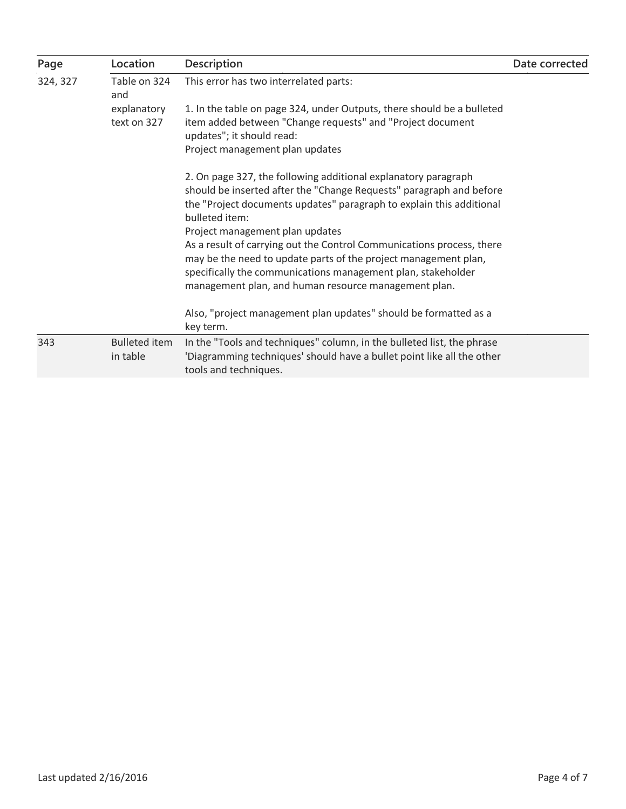| Page     | Location                         | <b>Description</b>                                                                                                                                                                                                                                                                                  | Date corrected |
|----------|----------------------------------|-----------------------------------------------------------------------------------------------------------------------------------------------------------------------------------------------------------------------------------------------------------------------------------------------------|----------------|
| 324, 327 | Table on 324<br>and              | This error has two interrelated parts:                                                                                                                                                                                                                                                              |                |
|          | explanatory<br>text on 327       | 1. In the table on page 324, under Outputs, there should be a bulleted<br>item added between "Change requests" and "Project document<br>updates"; it should read:<br>Project management plan updates                                                                                                |                |
|          |                                  | 2. On page 327, the following additional explanatory paragraph<br>should be inserted after the "Change Requests" paragraph and before<br>the "Project documents updates" paragraph to explain this additional<br>bulleted item:                                                                     |                |
|          |                                  | Project management plan updates<br>As a result of carrying out the Control Communications process, there<br>may be the need to update parts of the project management plan,<br>specifically the communications management plan, stakeholder<br>management plan, and human resource management plan. |                |
|          |                                  | Also, "project management plan updates" should be formatted as a<br>key term.                                                                                                                                                                                                                       |                |
| 343      | <b>Bulleted item</b><br>in table | In the "Tools and techniques" column, in the bulleted list, the phrase<br>'Diagramming techniques' should have a bullet point like all the other<br>tools and techniques.                                                                                                                           |                |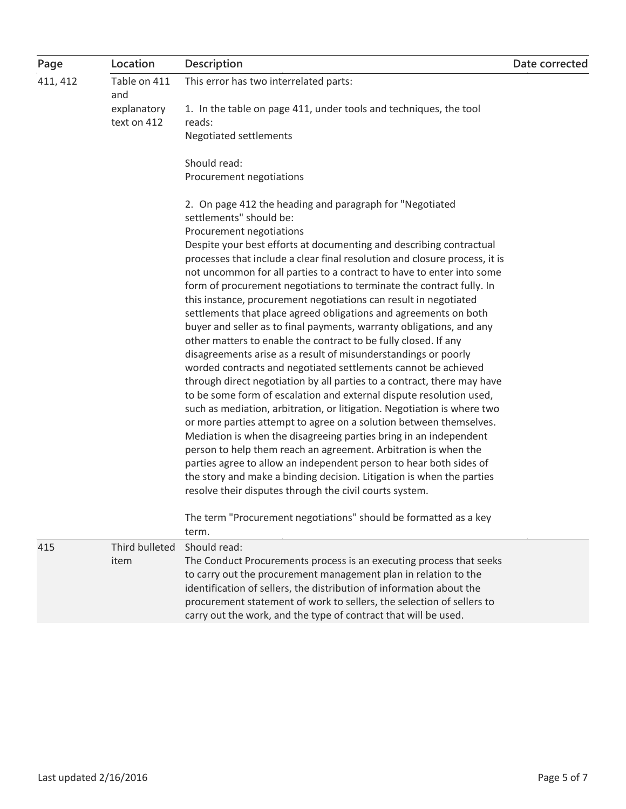| Page     | Location                   | <b>Description</b>                                                                  | Date corrected |
|----------|----------------------------|-------------------------------------------------------------------------------------|----------------|
| 411, 412 | Table on 411<br>and        | This error has two interrelated parts:                                              |                |
|          | explanatory<br>text on 412 | 1. In the table on page 411, under tools and techniques, the tool<br>reads:         |                |
|          |                            | <b>Negotiated settlements</b>                                                       |                |
|          |                            |                                                                                     |                |
|          |                            | Should read:                                                                        |                |
|          |                            | Procurement negotiations                                                            |                |
|          |                            | 2. On page 412 the heading and paragraph for "Negotiated<br>settlements" should be: |                |
|          |                            | Procurement negotiations                                                            |                |
|          |                            | Despite your best efforts at documenting and describing contractual                 |                |
|          |                            | processes that include a clear final resolution and closure process, it is          |                |
|          |                            | not uncommon for all parties to a contract to have to enter into some               |                |
|          |                            | form of procurement negotiations to terminate the contract fully. In                |                |
|          |                            | this instance, procurement negotiations can result in negotiated                    |                |
|          |                            | settlements that place agreed obligations and agreements on both                    |                |
|          |                            | buyer and seller as to final payments, warranty obligations, and any                |                |
|          |                            | other matters to enable the contract to be fully closed. If any                     |                |
|          |                            | disagreements arise as a result of misunderstandings or poorly                      |                |
|          |                            | worded contracts and negotiated settlements cannot be achieved                      |                |
|          |                            | through direct negotiation by all parties to a contract, there may have             |                |
|          |                            | to be some form of escalation and external dispute resolution used,                 |                |
|          |                            | such as mediation, arbitration, or litigation. Negotiation is where two             |                |
|          |                            | or more parties attempt to agree on a solution between themselves.                  |                |
|          |                            | Mediation is when the disagreeing parties bring in an independent                   |                |
|          |                            | person to help them reach an agreement. Arbitration is when the                     |                |
|          |                            | parties agree to allow an independent person to hear both sides of                  |                |
|          |                            | the story and make a binding decision. Litigation is when the parties               |                |
|          |                            | resolve their disputes through the civil courts system.                             |                |
|          |                            | The term "Procurement negotiations" should be formatted as a key                    |                |
|          |                            | term.                                                                               |                |
| 415      | Third bulleted             | Should read:                                                                        |                |
|          | item                       | The Conduct Procurements process is an executing process that seeks                 |                |
|          |                            | to carry out the procurement management plan in relation to the                     |                |
|          |                            | identification of sellers, the distribution of information about the                |                |
|          |                            | procurement statement of work to sellers, the selection of sellers to               |                |
|          |                            | carry out the work, and the type of contract that will be used.                     |                |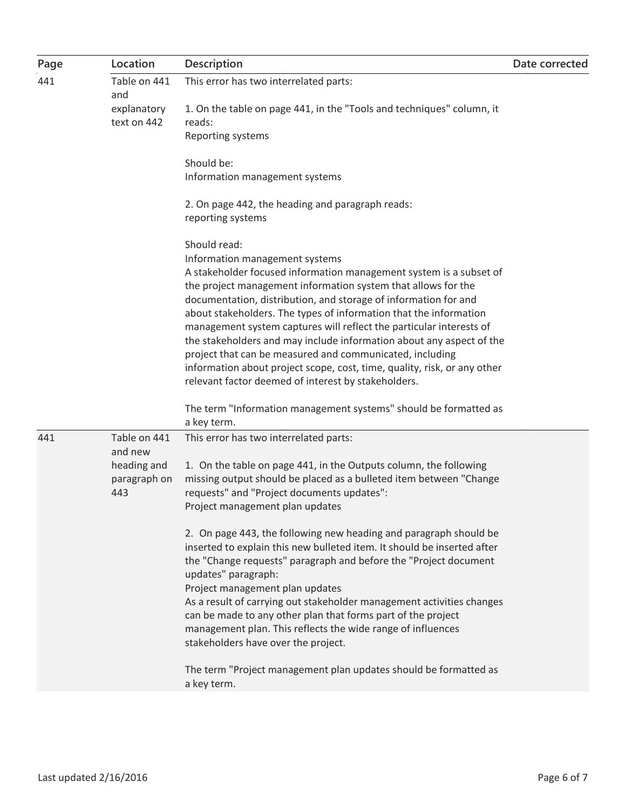| Page | Location                | <b>Description</b>                                                                                                                       | Date corrected |
|------|-------------------------|------------------------------------------------------------------------------------------------------------------------------------------|----------------|
| 441  | Table on 441<br>and     | This error has two interrelated parts:                                                                                                   |                |
|      | explanatory             | 1. On the table on page 441, in the "Tools and techniques" column, it                                                                    |                |
|      | text on 442             | reads:                                                                                                                                   |                |
|      |                         | Reporting systems                                                                                                                        |                |
|      |                         | Should be:                                                                                                                               |                |
|      |                         | Information management systems                                                                                                           |                |
|      |                         | 2. On page 442, the heading and paragraph reads:                                                                                         |                |
|      |                         | reporting systems                                                                                                                        |                |
|      |                         | Should read:                                                                                                                             |                |
|      |                         | Information management systems                                                                                                           |                |
|      |                         | A stakeholder focused information management system is a subset of                                                                       |                |
|      |                         | the project management information system that allows for the                                                                            |                |
|      |                         | documentation, distribution, and storage of information for and                                                                          |                |
|      |                         | about stakeholders. The types of information that the information<br>management system captures will reflect the particular interests of |                |
|      |                         | the stakeholders and may include information about any aspect of the                                                                     |                |
|      |                         | project that can be measured and communicated, including                                                                                 |                |
|      |                         | information about project scope, cost, time, quality, risk, or any other                                                                 |                |
|      |                         | relevant factor deemed of interest by stakeholders.                                                                                      |                |
|      |                         | The term "Information management systems" should be formatted as                                                                         |                |
|      |                         | a key term.                                                                                                                              |                |
| 441  | Table on 441<br>and new | This error has two interrelated parts:                                                                                                   |                |
|      | heading and             | 1. On the table on page 441, in the Outputs column, the following                                                                        |                |
|      | paragraph on            | missing output should be placed as a bulleted item between "Change                                                                       |                |
|      | 443                     | requests" and "Project documents updates":                                                                                               |                |
|      |                         | Project management plan updates                                                                                                          |                |
|      |                         | 2. On page 443, the following new heading and paragraph should be                                                                        |                |
|      |                         | inserted to explain this new bulleted item. It should be inserted after                                                                  |                |
|      |                         | the "Change requests" paragraph and before the "Project document                                                                         |                |
|      |                         | updates" paragraph:                                                                                                                      |                |
|      |                         | Project management plan updates<br>As a result of carrying out stakeholder management activities changes                                 |                |
|      |                         | can be made to any other plan that forms part of the project                                                                             |                |
|      |                         | management plan. This reflects the wide range of influences                                                                              |                |
|      |                         | stakeholders have over the project.                                                                                                      |                |
|      |                         | The term "Project management plan updates should be formatted as                                                                         |                |
|      |                         | a key term.                                                                                                                              |                |